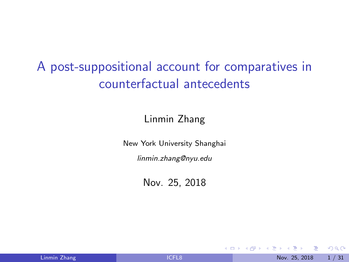<span id="page-0-0"></span>A post-suppositional account for comparatives in counterfactual antecedents

Linmin Zhang

New York University Shanghai

linmin.zhang@nyu.edu

Nov. 25, 2018

4 0 8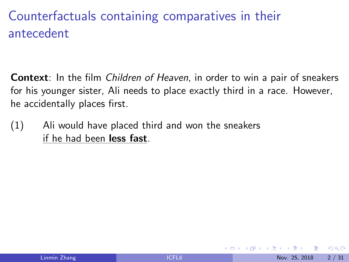## Counterfactuals containing comparatives in their antecedent

**Context**: In the film *Children of Heaven*, in order to win a pair of sneakers for his younger sister, Ali needs to place exactly third in a race. However, he accidentally places first.

(1) Ali would have placed third and won the sneakers if he had been less fast.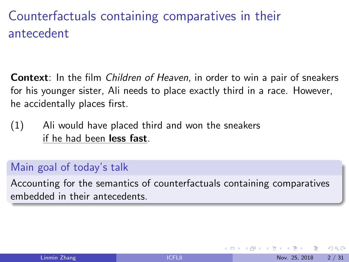## Counterfactuals containing comparatives in their antecedent

**Context**: In the film *Children of Heaven*, in order to win a pair of sneakers for his younger sister, Ali needs to place exactly third in a race. However, he accidentally places first.

(1) Ali would have placed third and won the sneakers if he had been less fast.

#### Main goal of today's talk

Accounting for the semantics of counterfactuals containing comparatives embedded in their antecedents.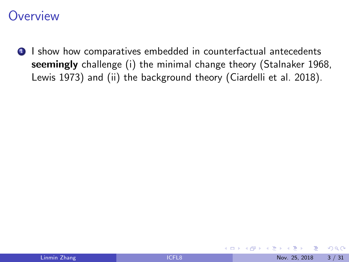**1** I show how comparatives embedded in counterfactual antecedents seemingly challenge (i) the minimal change theory (Stalnaker 1968, Lewis 1973) and (ii) the background theory (Ciardelli et al. 2018).

4 0 8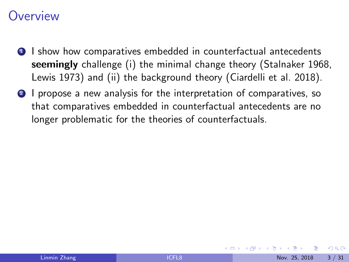- **1** I show how comparatives embedded in counterfactual antecedents seemingly challenge (i) the minimal change theory (Stalnaker 1968, Lewis 1973) and (ii) the background theory (Ciardelli et al. 2018).
- <sup>2</sup> I propose a new analysis for the interpretation of comparatives, so that comparatives embedded in counterfactual antecedents are no longer problematic for the theories of counterfactuals.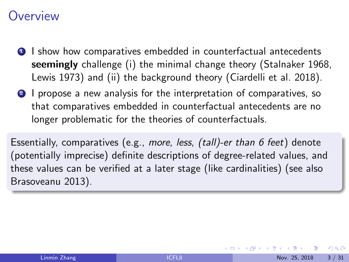- **1** I show how comparatives embedded in counterfactual antecedents seemingly challenge (i) the minimal change theory (Stalnaker 1968, Lewis 1973) and (ii) the background theory (Ciardelli et al. 2018).
- <sup>2</sup> I propose a new analysis for the interpretation of comparatives, so that comparatives embedded in counterfactual antecedents are no longer problematic for the theories of counterfactuals.

Essentially, comparatives (e.g., more, less, (tall)-er than 6 feet) denote (potentially imprecise) definite descriptions of degree-related values, and these values can be verified at a later stage (like cardinalities) (see also Brasoveanu 2013).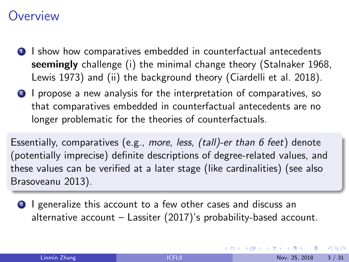- <span id="page-6-0"></span>**1** I show how comparatives embedded in counterfactual antecedents seemingly challenge (i) the minimal change theory (Stalnaker 1968, Lewis 1973) and (ii) the background theory (Ciardelli et al. 2018).
- 2 I propose a new analysis for the interpretation of comparatives, so that comparatives embedded in counterfactual antecedents are no longer problematic for the theories of counterfactuals.

Essentially, comparatives (e.g., more, less, (tall)-er than 6 feet) denote (potentially imprecise) definite descriptions of degree-related values, and these values can be verified at a later stage (like cardinalities) (see also Brasoveanu 2013).

**3** I generalize this account to a few other cases and discuss an alternative account – Lassiter (2017)'s probability-based account.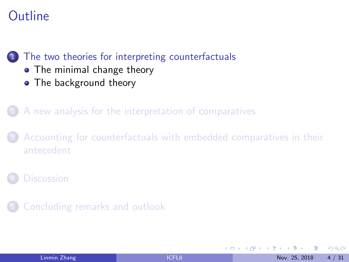## <span id="page-7-0"></span>**Outline**

#### [The two theories for interpreting counterfactuals](#page-7-0)

- [The minimal change theory](#page-8-0)
- [The background theory](#page-12-0)

2 [A new analysis for the interpretation of comparatives](#page-21-0)

[Accounting for counterfactuals with embedded comparatives in their](#page-34-0) [antecedent](#page-34-0)

5 [Concluding remarks and outlook](#page-43-0)

4 0 8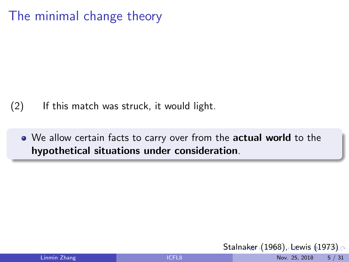<span id="page-8-0"></span>The minimal change theory

#### (2) If this match was struck, it would light.

• We allow certain facts to carry over from the actual world to the hypothetical situations under consideration.

[St](#page-7-0)a[ln](#page-9-0)[a](#page-7-0)[ker](#page-8-0) [\(](#page-9-0)[1](#page-7-0)[9](#page-8-0)[6](#page-11-0)[8\)](#page-12-0)[,](#page-6-0) [L](#page-7-0)[e](#page-20-0)[w](#page-21-0)[is](#page-0-0)  $(1973)$  $(1973)$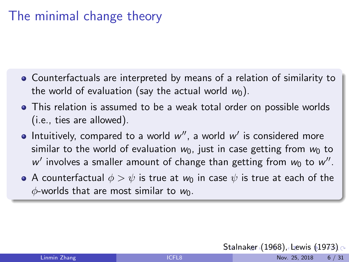### <span id="page-9-0"></span>The minimal change theory

- Counterfactuals are interpreted by means of a relation of similarity to the world of evaluation (say the actual world  $w_0$ ).
- This relation is assumed to be a weak total order on possible worlds (i.e., ties are allowed).
- Intuitively, compared to a world  $w''$ , a world  $w'$  is considered more similar to the world of evaluation  $w_0$ , just in case getting from  $w_0$  to  $w'$  involves a smaller amount of change than getting from  $w_0$  to  $w''$ .
- A counterfactual  $\phi > \psi$  is true at  $w_0$  in case  $\psi$  is true at each of the  $\phi$ -worlds that are most similar to  $w_0$ .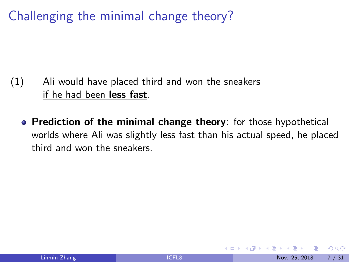<span id="page-10-0"></span>Challenging the minimal change theory?

- (1) Ali would have placed third and won the sneakers if he had been less fast.
	- Prediction of the minimal change theory: for those hypothetical worlds where Ali was slightly less fast than his actual speed, he placed third and won the sneakers.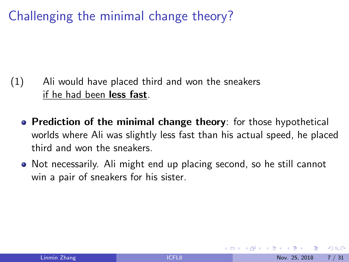<span id="page-11-0"></span>Challenging the minimal change theory?

- (1) Ali would have placed third and won the sneakers if he had been less fast.
	- Prediction of the minimal change theory: for those hypothetical worlds where Ali was slightly less fast than his actual speed, he placed third and won the sneakers.
	- Not necessarily. Ali might end up placing second, so he still cannot win a pair of sneakers for his sister.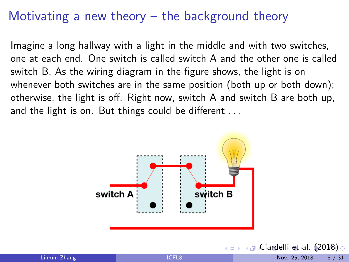<span id="page-12-0"></span>Imagine a long hallway with a light in the middle and with two switches, one at each end. One switch is called switch A and the other one is called switch B. As the wiring diagram in the figure shows, the light is on whenever both switches are in the same position (both up or both down); otherwise, the light is off. Right now, switch A and switch B are both up, and the light is on. But things could be different ...



 $\longleftrightarrow$  $\longleftrightarrow$  $\longleftrightarrow$  $\longleftrightarrow$  $\longleftrightarrow$   $\longleftrightarrow$  [C](#page-13-0)[ia](#page-11-0)r[d](#page-20-0)[el](#page-21-0)[li](#page-6-0) [e](#page-7-0)t [a](#page-21-0)[l.](#page-0-0) [\(20](#page-49-0)18)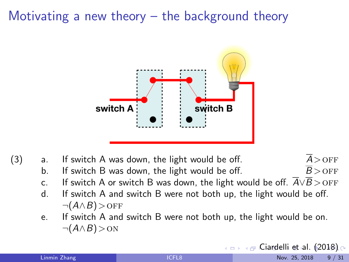<span id="page-13-0"></span>

| (3) | a.             | $A >$ OFF<br>If switch A was down, the light would be off.                                         |  |
|-----|----------------|----------------------------------------------------------------------------------------------------|--|
|     | b.             | $\overline{B}$ > OFF<br>If switch B was down, the light would be off.                              |  |
|     | $\mathsf{C}$ . | If switch A or switch B was down, the light would be off. $A \vee B >$ OFF                         |  |
|     | d.             | If switch A and switch B were not both up, the light would be off.<br>$\neg(A \wedge B) >$ OFF     |  |
|     | e.             | If switch A and switch B were not both up, the light would be on.<br>$\neg(A \land B) > \text{ON}$ |  |
|     |                | 4 a → 4 a Ciardelli et al. (2018) o                                                                |  |

Linmin Zhang **[ICFL8](#page-0-0)** 1CFL8 Nov. 25, 2018 9 / 31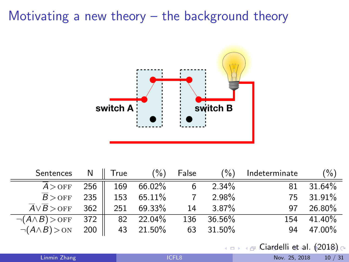<span id="page-14-0"></span>

| Sentences                              |       | $N \parallel True$ | (%)    | False | $(\% )$  | Indeterminate | $\frac{9}{6}$ |
|----------------------------------------|-------|--------------------|--------|-------|----------|---------------|---------------|
| $A >$ OFF                              | 256   | 169                | 66.02% | 6     | $2.34\%$ | 81            | $31.64\%$     |
| $B >$ OFF                              | $235$ | 153                | 65.11% |       | 2.98%    | 75            | $31.91\%$     |
| $\overline{A} \vee \overline{B}$ > OFF | 362   | 251                | 69.33% | 14    | $3.87\%$ | 97            | 26.80%        |
| $\neg(A \land B) >$ OFF                | $372$ | 82                 | 22.04% | 136   | 36.56%   | 154           | 41.40%        |
| $\neg(A \land B) > \text{ON}$          | 200   | 43                 | 21.50% | 63    | 31.50%   | 94            | 47.00%        |

 $\longleftrightarrow$  $\longleftrightarrow$  $\longleftrightarrow$  $\longleftrightarrow$  $\longleftrightarrow$   $\longleftrightarrow$  [C](#page-15-0)[ia](#page-11-0)r[d](#page-20-0)[el](#page-21-0)[li](#page-6-0) [e](#page-7-0)t [a](#page-21-0)[l.](#page-0-0)  $(2018)$  $(2018)$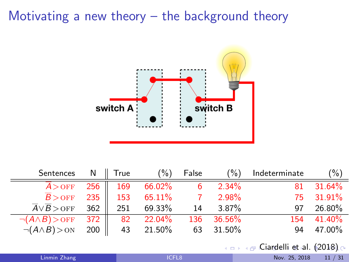<span id="page-15-0"></span>

| Sentences N    True                    |       |              | $(\% )$   | False |                  | $(\%)$ Indeterminate | (%)        |
|----------------------------------------|-------|--------------|-----------|-------|------------------|----------------------|------------|
| $A >$ OFF                              |       | $256$    169 | 66.02%    |       | $6\qquad 2.34\%$ | 81                   | $31.64\%$  |
| $\overline{B}$ > OFF                   | 235   | 153          | 65.11%    |       | $7 \t 2.98\%$    |                      | 75 31.91%  |
| $\overline{A} \vee \overline{B}$ > OFF | 362   | 251          | 69.33%    |       | 14 3.87%         |                      | 97 26.80%  |
| $\neg(A \land B) >$ OFF 372            |       | 82           | $22.04\%$ |       | 136 36.56%       |                      | 154 41.40% |
| $\neg(A \land B) > \text{ON}$          | $200$ |              | 43 21.50% |       | 63 31.50%        | 94                   | 47.00%     |

 $\longleftrightarrow$  $\longleftrightarrow$  $\longleftrightarrow$  $\longleftrightarrow$  $\longleftrightarrow$   $\longleftrightarrow$  [C](#page-16-0)[ia](#page-11-0)r[d](#page-20-0)[el](#page-21-0)[li](#page-6-0) [e](#page-7-0)t [a](#page-21-0)[l.](#page-0-0) [\(20](#page-49-0)18)

| Linmin Zhan |  |
|-------------|--|
|             |  |
|             |  |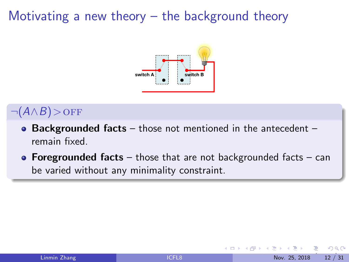

<span id="page-16-0"></span> $\neg(A \wedge B) >$ OFF

- Backgrounded facts those not mentioned in the antecedent remain fixed.
- Foregrounded facts those that are not backgrounded facts can be varied without any minimality constraint.

つひひ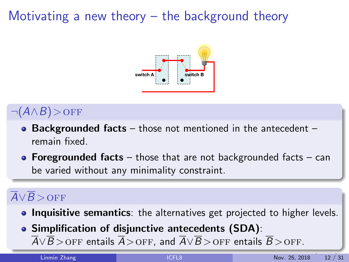

<span id="page-17-0"></span> $\neg(A \wedge B) >$ OFF

- Backgrounded facts those not mentioned in the antecedent remain fixed.
- Foregrounded facts those that are not backgrounded facts can be varied without any minimality constraint.

#### $\overline{A}\vee\overline{B}$  > OFF

- **Inquisitive semantics**: the alternatives get projected to higher levels.
- Simplification of disjunctive antecedents (SDA):  $\overline{A} \vee \overline{B}$  $\overline{A} \vee \overline{B}$  $\overline{A} \vee \overline{B}$  > OFF [en](#page-18-0)[t](#page-15-0)[a](#page-16-0)[il](#page-17-0)[s](#page-18-0)  $\overline{A}$  $\overline{A}$  $\overline{A}$  [>](#page-20-0) OFF, and  $\overline{A} \vee \overline{B}$  > OFF entails  $\overline{B}$  > OFF[.](#page-21-0)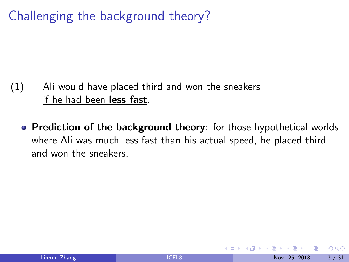<span id="page-18-0"></span>Challenging the background theory?

- (1) Ali would have placed third and won the sneakers if he had been less fast.
	- Prediction of the background theory: for those hypothetical worlds where Ali was much less fast than his actual speed, he placed third and won the sneakers.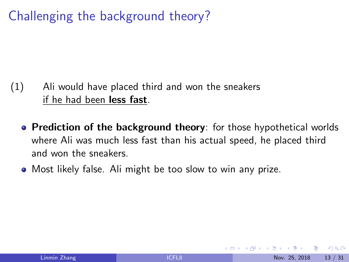## Challenging the background theory?

- (1) Ali would have placed third and won the sneakers if he had been less fast.
	- Prediction of the background theory: for those hypothetical worlds where Ali was much less fast than his actual speed, he placed third and won the sneakers.
	- Most likely false. Ali might be too slow to win any prize.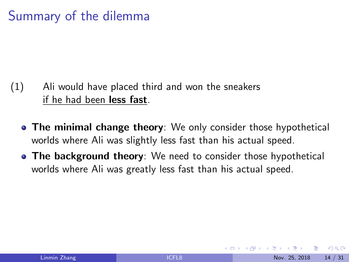## <span id="page-20-0"></span>Summary of the dilemma

- (1) Ali would have placed third and won the sneakers if he had been less fast.
	- The minimal change theory: We only consider those hypothetical worlds where Ali was slightly less fast than his actual speed.
	- The background theory: We need to consider those hypothetical worlds where Ali was greatly less fast than his actual speed.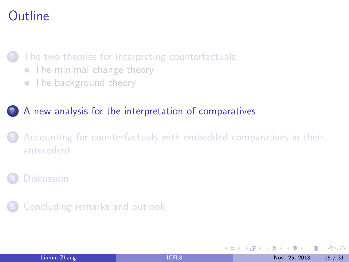## <span id="page-21-0"></span>**Outline**

#### [The two theories for interpreting counterfactuals](#page-7-0)

- [The minimal change theory](#page-8-0)
- [The background theory](#page-12-0)

#### 2 [A new analysis for the interpretation of comparatives](#page-21-0)

[Accounting for counterfactuals with embedded comparatives in their](#page-34-0) [antecedent](#page-34-0)

5 [Concluding remarks and outlook](#page-43-0)

4 0 8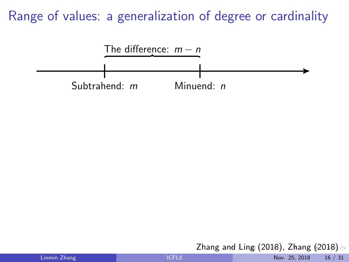<span id="page-22-0"></span>

Zhang [an](#page-21-0)[d L](#page-23-0)[in](#page-21-0)[g](#page-22-0)[\(2](#page-24-0)[0](#page-20-0)[1](#page-21-0)[8](#page-33-0)[\),](#page-34-0) [Z](#page-20-0)[h](#page-21-0)[a](#page-33-0)[n](#page-34-0)[g](#page-0-0)  $(2018)$  $(2018)$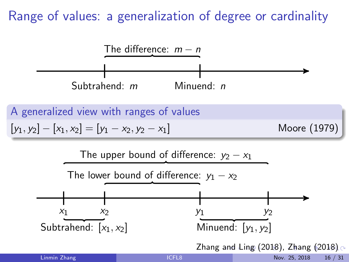<span id="page-23-0"></span>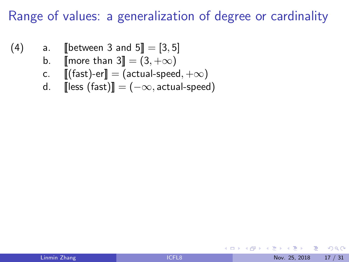- <span id="page-24-0"></span>(4) a. [[between 3 and  $5$ ] = [3, 5]
	- b.  $\text{[more than 3]} = (3, +\infty)$
	- c.  $[[(\text{fast})\text{-er}]] = (\text{actual-speed}, +\infty)$
	- d.  $\left[\text{less (fast)}\right] = (-\infty, \text{actual-speed})$

4 0 8

÷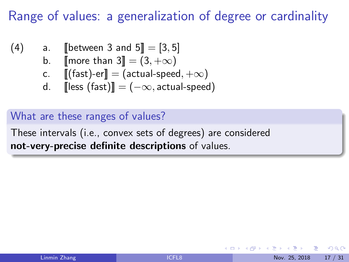- (4) a. [[between 3 and  $5$ ] = [3, 5]
	- b.  $\blacksquare$  more than  $3 \rightharpoonup = (3, +\infty)$
	- c.  $[[(\text{fast})\text{-er}]] = (\text{actual-speed}, +\infty)$
	- d. [ $\text{less (fast)}$ ] = ( $-\infty$ , actual-speed)

What are these ranges of values?

These intervals (i.e., convex sets of degrees) are considered not-very-precise definite descriptions of values.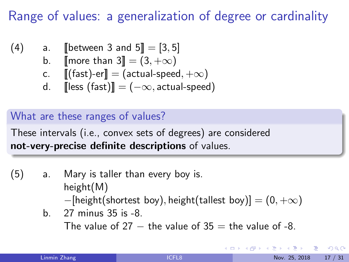- (4) a. [[between 3 and  $5$ ] = [3, 5]
	- b.  $\lbrack \lbrack$  more than 3 $\rbrack \rbrack = (3, +\infty)$
	- c.  $[[(\text{fast})\text{-er}]] = (\text{actual-speed}, +\infty)$
	- d. [ $\text{less (fast)}$ ] = ( $-\infty$ , actual-speed)

#### What are these ranges of values?

These intervals (i.e., convex sets of degrees) are considered not-very-precise definite descriptions of values.

- (5) a. Mary is taller than every boy is. height(M)  $-[height(shortest boy), height(tallet boy)] = (0, +\infty)$ 
	- b. 27 minus 35 is -8. The value of 27  $-$  the value of 35  $=$  the value of -8.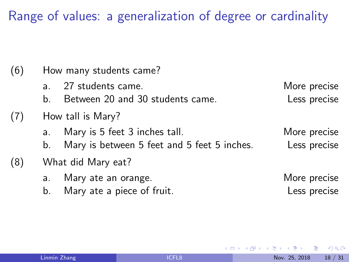| (6) | How many students came? |                                             |              |  |  |  |  |
|-----|-------------------------|---------------------------------------------|--------------|--|--|--|--|
|     | a <sub>1</sub>          | 27 students came.                           | More precise |  |  |  |  |
|     | b.                      | Between 20 and 30 students came.            | Less precise |  |  |  |  |
| (7) | How tall is Mary?       |                                             |              |  |  |  |  |
|     | a.                      | Mary is 5 feet 3 inches tall.               | More precise |  |  |  |  |
|     | b.                      | Mary is between 5 feet and 5 feet 5 inches. | Less precise |  |  |  |  |
| (8) | What did Mary eat?      |                                             |              |  |  |  |  |
|     | a.                      | Mary ate an orange.                         | More precise |  |  |  |  |
|     | b.                      | Mary ate a piece of fruit.                  | Less precise |  |  |  |  |

4 日下

目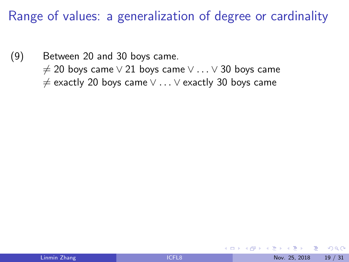(9) Between 20 and 30 boys came.  $\neq$  20 boys came  $\vee$  21 boys came  $\vee \dots \vee$  30 boys came  $\neq$  exactly 20 boys came  $\vee \dots \vee$  exactly 30 boys came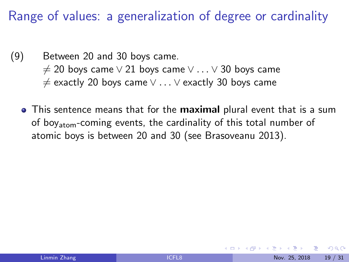- (9) Between 20 and 30 boys came.  $\neq$  20 boys came  $\vee$  21 boys came  $\vee \dots \vee$  30 boys came 6= exactly 20 boys came ∨ . . . ∨ exactly 30 boys came
	- This sentence means that for the **maximal** plural event that is a sum of boy<sub>atom</sub>-coming events, the cardinality of this total number of atomic boys is between 20 and 30 (see Brasoveanu 2013).

つへへ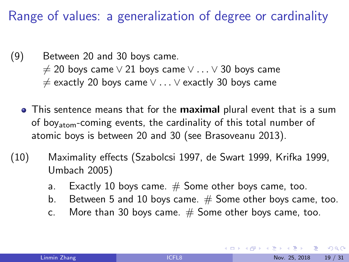- (9) Between 20 and 30 boys came.  $\neq$  20 boys came  $\vee$  21 boys came  $\vee \ldots \vee$  30 boys came  $\neq$  exactly 20 boys came  $\vee \dots \vee$  exactly 30 boys came
	- This sentence means that for the **maximal** plural event that is a sum of boy<sub>atom</sub>-coming events, the cardinality of this total number of atomic boys is between 20 and 30 (see Brasoveanu 2013).
- (10) Maximality effects (Szabolcsi 1997, de Swart 1999, Krifka 1999, Umbach 2005)
	- a. Exactly 10 boys came.  $#$  Some other boys came, too.
	- b. Between 5 and 10 boys came.  $#$  Some other boys came, too.
	- c. More than 30 boys came.  $#$  Some other boys came, too.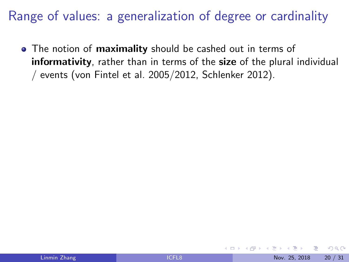• The notion of maximality should be cashed out in terms of informativity, rather than in terms of the size of the plural individual / events (von Fintel et al. 2005/2012, Schlenker 2012).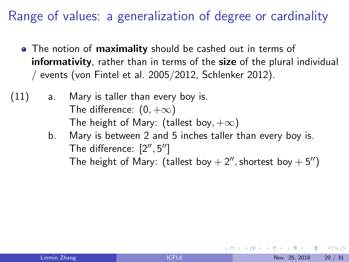- The notion of **maximality** should be cashed out in terms of informativity, rather than in terms of the size of the plural individual / events (von Fintel et al. 2005/2012, Schlenker 2012).
- (11) a. Mary is taller than every boy is. The difference:  $(0, +\infty)$ The height of Mary: (tallest boy,  $+\infty$ )
	- b. Mary is between 2 and 5 inches taller than every boy is. The difference:  $[2'', 5'']$ The height of Mary: (tallest boy  $+ 2''$ , shortest boy  $+ 5''$ )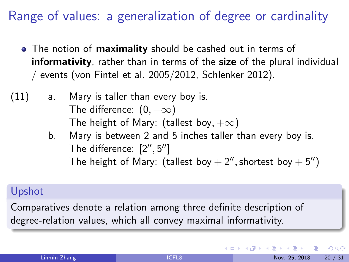- <span id="page-33-0"></span>• The notion of **maximality** should be cashed out in terms of informativity, rather than in terms of the size of the plural individual / events (von Fintel et al. 2005/2012, Schlenker 2012).
- (11) a. Mary is taller than every boy is. The difference:  $(0, +\infty)$ The height of Mary: (tallest boy,  $+\infty$ )
	- b. Mary is between 2 and 5 inches taller than every boy is. The difference:  $[2'', 5'']$ The height of Mary: (tallest boy  $+ 2''$ , shortest boy  $+ 5''$ )

#### Upshot

Comparatives denote a relation among three definite description of degree-relation values, which all convey maximal informativity.

 $QQ$ 

イロト イ押 トイヨト イヨ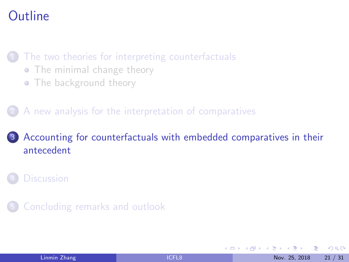## <span id="page-34-0"></span>**Outline**

[The two theories for interpreting counterfactuals](#page-7-0)

- [The minimal change theory](#page-8-0)
- [The background theory](#page-12-0)

2 [A new analysis for the interpretation of comparatives](#page-21-0)

#### 3 [Accounting for counterfactuals with embedded comparatives in their](#page-34-0) [antecedent](#page-34-0)

5 [Concluding remarks and outlook](#page-43-0)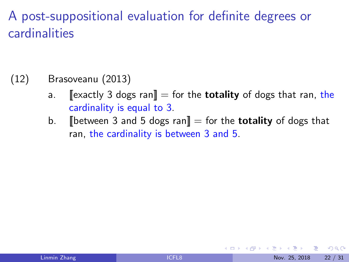## A post-suppositional evaluation for definite degrees or cardinalities

#### (12) Brasoveanu (2013)

- a.  $\left[\right]$  [exactly 3 dogs ran] = for the **totality** of dogs that ran, the cardinality is equal to 3.
- b. **I** between 3 and 5 dogs ran  $\mathbf{r} =$  for the **totality** of dogs that ran, the cardinality is between 3 and 5.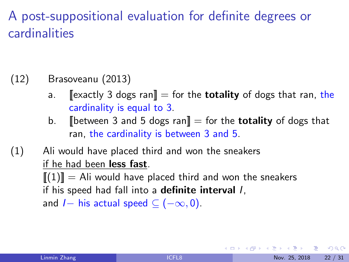## <span id="page-36-0"></span>A post-suppositional evaluation for definite degrees or cardinalities

#### (12) Brasoveanu (2013)

- a.  $\left[\right]$  [exactly 3 dogs ran] = for the **totality** of dogs that ran, the cardinality is equal to 3.
- b. **I** between 3 and 5 dogs ran  $\mathbf{r} = \mathbf{r}$  for the **totality** of dogs that ran, the cardinality is between 3 and 5.
- (1) Ali would have placed third and won the sneakers if he had been less fast.

 $[[(1)]] =$  Ali would have placed third and won the sneakers if his speed had fall into a **definite interval** /,

and  $I-$  his actual speed  $\subseteq (-\infty,0)$ .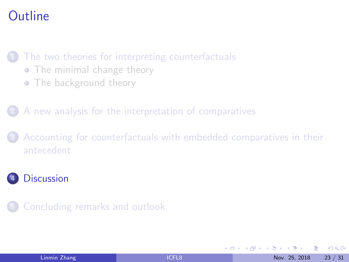## <span id="page-37-0"></span>**Outline**

[The two theories for interpreting counterfactuals](#page-7-0)

- [The minimal change theory](#page-8-0)
- [The background theory](#page-12-0)

2 [A new analysis for the interpretation of comparatives](#page-21-0)

[Accounting for counterfactuals with embedded comparatives in their](#page-34-0) [antecedent](#page-34-0)

#### **[Discussion](#page-37-0)**

5 [Concluding remarks and outlook](#page-43-0)

| Linmin Zhang |  |  |
|--------------|--|--|
|              |  |  |

4 0 8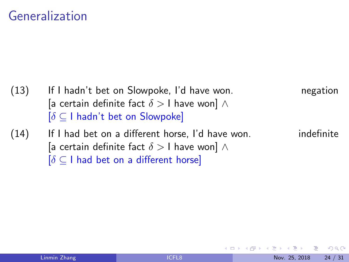#### Generalization

(13) If I hadn't bet on Slowpoke, I'd have won. The negation [a certain definite fact  $\delta > 1$  have won]  $\wedge$  $\delta \subset I$  hadn't bet on Slowpoke]  $(14)$  If I had bet on a different horse, I'd have won. indefinite [a certain definite fact  $\delta > 1$  have won]  $\wedge$  $\delta \subset I$  had bet on a different horse]

4 0 8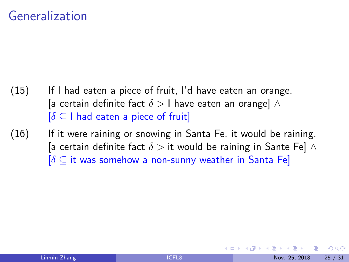#### <span id="page-39-0"></span>Generalization

- (15) If I had eaten a piece of fruit, I'd have eaten an orange. [a certain definite fact  $\delta > 1$  have eaten an orange]  $\wedge$  $[\delta \subseteq I]$  had eaten a piece of fruit
- (16) If it were raining or snowing in Santa Fe, it would be raining. [a certain definite fact  $\delta >$  it would be raining in Sante Fe]  $\wedge$  $[\delta \subset$  it was somehow a non-sunny weather in Santa Fe]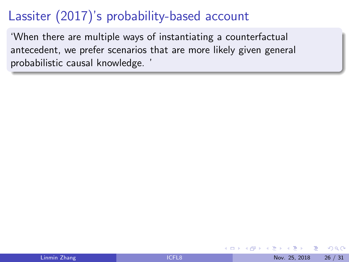## <span id="page-40-0"></span>Lassiter (2017)'s probability-based account

'When there are multiple ways of instantiating a counterfactual antecedent, we prefer scenarios that are more likely given general probabilistic causal knowledge. '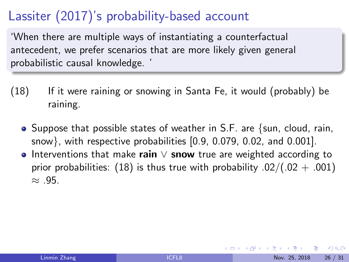## <span id="page-41-0"></span>Lassiter (2017)'s probability-based account

'When there are multiple ways of instantiating a counterfactual antecedent, we prefer scenarios that are more likely given general probabilistic causal knowledge. '

- (18) If it were raining or snowing in Santa Fe, it would (probably) be raining.
	- $\bullet$  Suppose that possible states of weather in S.F. are {sun, cloud, rain, snow}, with respective probabilities [0.9, 0.079, 0.02, and 0.001].
	- Interventions that make rain  $\vee$  snow true are weighted according to prior probabilities: (18) is thus true with probability  $.02/(.02 + .001)$  $\approx$  .95.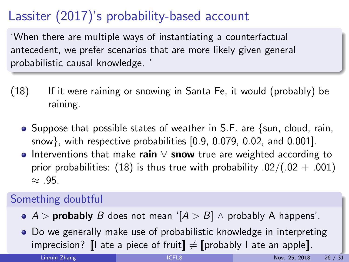## <span id="page-42-0"></span>Lassiter (2017)'s probability-based account

'When there are multiple ways of instantiating a counterfactual antecedent, we prefer scenarios that are more likely given general probabilistic causal knowledge. '

- (18) If it were raining or snowing in Santa Fe, it would (probably) be raining.
	- $\bullet$  Suppose that possible states of weather in S.F. are {sun, cloud, rain, snow}, with respective probabilities [0.9, 0.079, 0.02, and 0.001].
	- Interventions that make rain  $\vee$  snow true are weighted according to prior probabilities: (18) is thus true with probability  $.02/(.02 + .001)$  $\approx$  .95.

#### Something doubtful

- $A >$  probably B does not mean ' $[A > B] \wedge$  probably A happens'.
- Do we generally make use of probabilistic knowledge in interpreting imprecision? $\llbracket \cdot \rrbracket$  $\llbracket \cdot \rrbracket$  $\llbracket \cdot \rrbracket$  $\llbracket \cdot \rrbracket$  $\llbracket \cdot \rrbracket$  a[te](#page-43-0) a piece of fruit  $\rrbracket \neq \llbracket$  $\rrbracket \neq \llbracket$  $\rrbracket \neq \llbracket$  pro[bab](#page-41-0)[ly](#page-43-0) [I](#page-39-0) ate an [ap](#page-36-0)[pl](#page-42-0)e $\llbracket$ .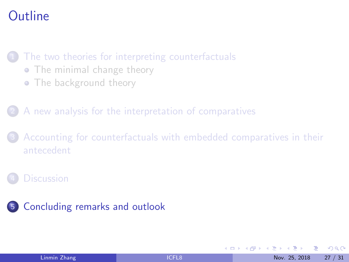## <span id="page-43-0"></span>**Outline**

[The two theories for interpreting counterfactuals](#page-7-0)

- [The minimal change theory](#page-8-0)
- [The background theory](#page-12-0)

2 [A new analysis for the interpretation of comparatives](#page-21-0)

[Accounting for counterfactuals with embedded comparatives in their](#page-34-0) [antecedent](#page-34-0)

#### **[Discussion](#page-37-0)**



4 0 8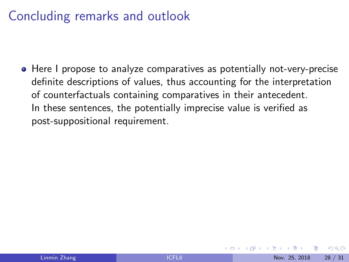#### Concluding remarks and outlook

• Here I propose to analyze comparatives as potentially not-very-precise definite descriptions of values, thus accounting for the interpretation of counterfactuals containing comparatives in their antecedent. In these sentences, the potentially imprecise value is verified as post-suppositional requirement.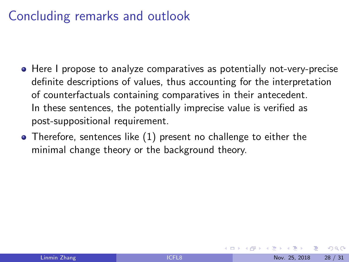### Concluding remarks and outlook

- Here I propose to analyze comparatives as potentially not-very-precise definite descriptions of values, thus accounting for the interpretation of counterfactuals containing comparatives in their antecedent. In these sentences, the potentially imprecise value is verified as post-suppositional requirement.
- Therefore, sentences like (1) present no challenge to either the minimal change theory or the background theory.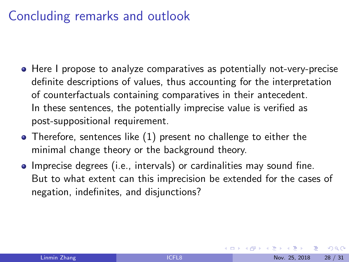#### Concluding remarks and outlook

- Here I propose to analyze comparatives as potentially not-very-precise definite descriptions of values, thus accounting for the interpretation of counterfactuals containing comparatives in their antecedent. In these sentences, the potentially imprecise value is verified as post-suppositional requirement.
- Therefore, sentences like (1) present no challenge to either the minimal change theory or the background theory.
- **Imprecise degrees (i.e., intervals) or cardinalities may sound fine.** But to what extent can this imprecision be extended for the cases of negation, indefinites, and disjunctions?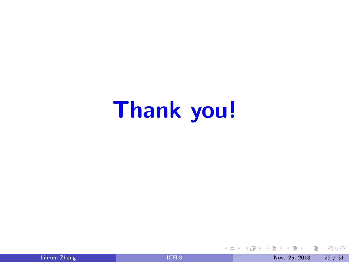# Thank you!

一本 重 下

 $\equiv$ 

 $299$ 

メロメ メタメ メミメ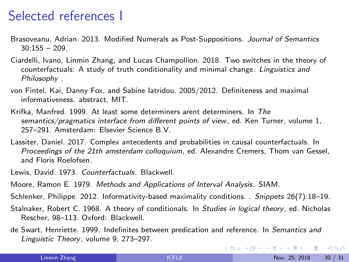#### Selected references I

- Brasoveanu, Adrian. 2013. Modified Numerals as Post-Suppositions. Journal of Semantics  $30.155 - 209$
- Ciardelli, Ivano, Linmin Zhang, and Lucas Champollion. 2018. Two switches in the theory of counterfactuals: A study of truth conditionality and minimal change. Linguistics and Philosophy .
- von Fintel, Kai, Danny Fox, and Sabine Iatridou. 2005/2012. Definiteness and maximal informativeness. abstract, MIT.
- Krifka, Manfred. 1999. At least some determiners arent determiners. In The semantics/pragmatics interface from different points of view, ed. Ken Turner, volume 1, 257–291. Amsterdam: Elsevier Science B.V.
- Lassiter, Daniel. 2017. Complex antecedents and probabilities in causal counterfactuals. In Proceedings of the 21th amsterdam colloquium, ed. Alexandre Cremers, Thom van Gessel, and Floris Roelofsen.
- Lewis, David. 1973. Counterfactuals. Blackwell.
- Moore, Ramon E. 1979. Methods and Applications of Interval Analysis. SIAM.
- Schlenker, Philippe. 2012. Informativity-based maximality conditions. . Snippets 26(7):18–19.
- Stalnaker, Robert C. 1968. A theory of conditionals. In Studies in logical theory, ed. Nicholas Rescher, 98–113. Oxford: Blackwell.
- de Swart, Henriette. 1999. Indefinites between predication and reference. In Semantics and Linguistic Theory, volume 9, 273–297.

**KOD KARD KED KED ORA**